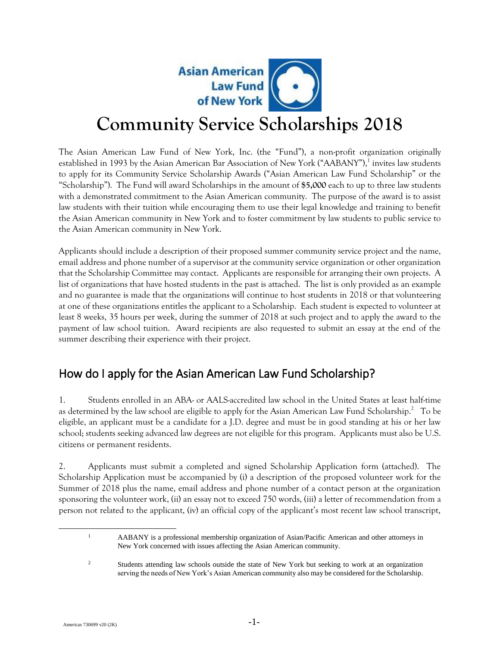

# **Community Service Scholarships 2018**

The Asian American Law Fund of New York, Inc. (the "Fund"), a non-profit organization originally established in 1993 by the Asian American Bar Association of New York ("AABANY"),<sup>1</sup> invites law students to apply for its Community Service Scholarship Awards ("Asian American Law Fund Scholarship" or the "Scholarship"). The Fund will award Scholarships in the amount of **\$5,000** each to up to three law students with a demonstrated commitment to the Asian American community. The purpose of the award is to assist law students with their tuition while encouraging them to use their legal knowledge and training to benefit the Asian American community in New York and to foster commitment by law students to public service to the Asian American community in New York.

Applicants should include a description of their proposed summer community service project and the name, email address and phone number of a supervisor at the community service organization or other organization that the Scholarship Committee may contact. Applicants are responsible for arranging their own projects. A list of organizations that have hosted students in the past is attached. The list is only provided as an example and no guarantee is made that the organizations will continue to host students in 2018 or that volunteering at one of these organizations entitles the applicant to a Scholarship. Each student is expected to volunteer at least 8 weeks, 35 hours per week, during the summer of 2018 at such project and to apply the award to the payment of law school tuition. Award recipients are also requested to submit an essay at the end of the summer describing their experience with their project.

### How do I apply for the Asian American Law Fund Scholarship?

1. Students enrolled in an ABA- or AALS-accredited law school in the United States at least half-time as determined by the law school are eligible to apply for the Asian American Law Fund Scholarship. $^2$  To be eligible, an applicant must be a candidate for a J.D. degree and must be in good standing at his or her law school; students seeking advanced law degrees are not eligible for this program. Applicants must also be U.S. citizens or permanent residents.

2. Applicants must submit a completed and signed Scholarship Application form (attached). The Scholarship Application must be accompanied by (i) a description of the proposed volunteer work for the Summer of 2018 plus the name, email address and phone number of a contact person at the organization sponsoring the volunteer work, (ii) an essay not to exceed 750 words, (iii) a letter of recommendation from a person not related to the applicant, (iv) an official copy of the applicant's most recent law school transcript,

<sup>1</sup> AABANY is a professional membership organization of Asian/Pacific American and other attorneys in New York concerned with issues affecting the Asian American community.

<sup>&</sup>lt;sup>2</sup> Students attending law schools outside the state of New York but seeking to work at an organization serving the needs of New York's Asian American community also may be considered for the Scholarship.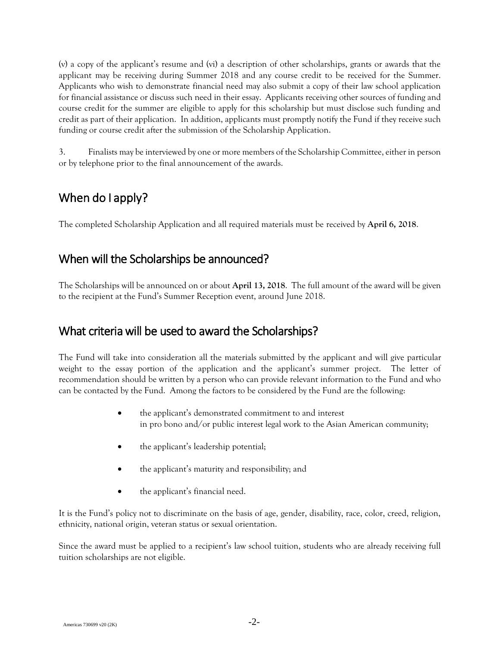(v) a copy of the applicant's resume and (vi) a description of other scholarships, grants or awards that the applicant may be receiving during Summer 2018 and any course credit to be received for the Summer. Applicants who wish to demonstrate financial need may also submit a copy of their law school application for financial assistance or discuss such need in their essay. Applicants receiving other sources of funding and course credit for the summer are eligible to apply for this scholarship but must disclose such funding and credit as part of their application. In addition, applicants must promptly notify the Fund if they receive such funding or course credit after the submission of the Scholarship Application.

3. Finalists may be interviewed by one or more members of the Scholarship Committee, either in person or by telephone prior to the final announcement of the awards.

### When do I apply?

The completed Scholarship Application and all required materials must be received by **April 6, 2018**.

#### When will the Scholarships be announced?

The Scholarships will be announced on or about **April 13, 2018**. The full amount of the award will be given to the recipient at the Fund's Summer Reception event, around June 2018.

#### What criteria will be used to award the Scholarships?

The Fund will take into consideration all the materials submitted by the applicant and will give particular weight to the essay portion of the application and the applicant's summer project. The letter of recommendation should be written by a person who can provide relevant information to the Fund and who can be contacted by the Fund. Among the factors to be considered by the Fund are the following:

- the applicant's demonstrated commitment to and interest in pro bono and/or public interest legal work to the Asian American community;
- the applicant's leadership potential;
- the applicant's maturity and responsibility; and
- the applicant's financial need.

It is the Fund's policy not to discriminate on the basis of age, gender, disability, race, color, creed, religion, ethnicity, national origin, veteran status or sexual orientation.

Since the award must be applied to a recipient's law school tuition, students who are already receiving full tuition scholarships are not eligible.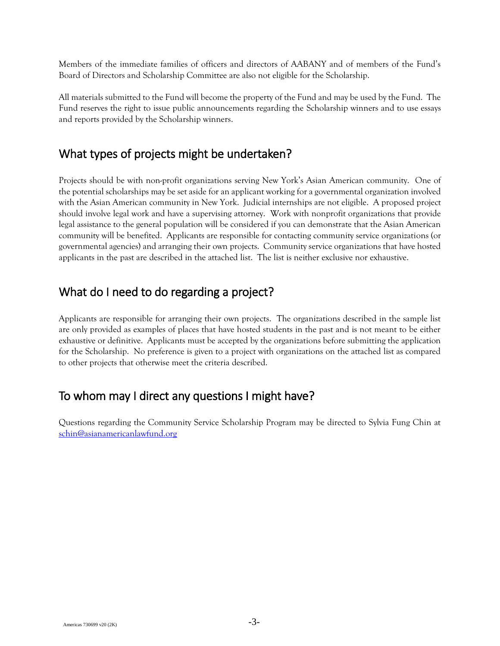Members of the immediate families of officers and directors of AABANY and of members of the Fund's Board of Directors and Scholarship Committee are also not eligible for the Scholarship.

All materials submitted to the Fund will become the property of the Fund and may be used by the Fund. The Fund reserves the right to issue public announcements regarding the Scholarship winners and to use essays and reports provided by the Scholarship winners.

#### What types of projects might be undertaken?

Projects should be with non-profit organizations serving New York's Asian American community. One of the potential scholarships may be set aside for an applicant working for a governmental organization involved with the Asian American community in New York. Judicial internships are not eligible. A proposed project should involve legal work and have a supervising attorney. Work with nonprofit organizations that provide legal assistance to the general population will be considered if you can demonstrate that the Asian American community will be benefited. Applicants are responsible for contacting community service organizations (or governmental agencies) and arranging their own projects. Community service organizations that have hosted applicants in the past are described in the attached list. The list is neither exclusive nor exhaustive.

#### What do I need to do regarding a project?

Applicants are responsible for arranging their own projects. The organizations described in the sample list are only provided as examples of places that have hosted students in the past and is not meant to be either exhaustive or definitive. Applicants must be accepted by the organizations before submitting the application for the Scholarship. No preference is given to a project with organizations on the attached list as compared to other projects that otherwise meet the criteria described.

#### To whom may I direct any questions I might have?

Questions regarding the Community Service Scholarship Program may be directed to Sylvia Fung Chin at [schin@asianamericanlawfund.org](mailto:schin@asianamericanlawfund.org)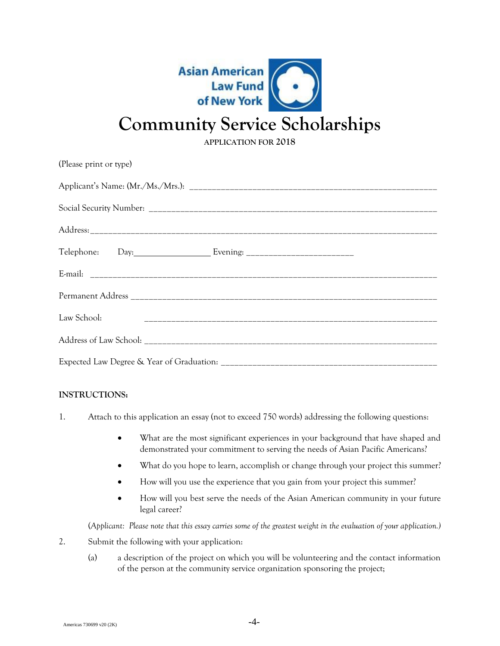

## **Community Service Scholarships**

**APPLICATION FOR 2018**

| (Please print or type) |
|------------------------|
|                        |
|                        |
|                        |
|                        |
|                        |
|                        |
| Law School:            |
|                        |
|                        |
|                        |

#### **INSTRUCTIONS:**

- 1. Attach to this application an essay (not to exceed 750 words) addressing the following questions:
	- What are the most significant experiences in your background that have shaped and demonstrated your commitment to serving the needs of Asian Pacific Americans?
	- What do you hope to learn, accomplish or change through your project this summer?
	- How will you use the experience that you gain from your project this summer?
	- How will you best serve the needs of the Asian American community in your future legal career?

(*Applicant: Please note that this essay carries some of the greatest weight in the evaluation of your application.)*

- 2. Submit the following with your application:
	- (a) a description of the project on which you will be volunteering and the contact information of the person at the community service organization sponsoring the project;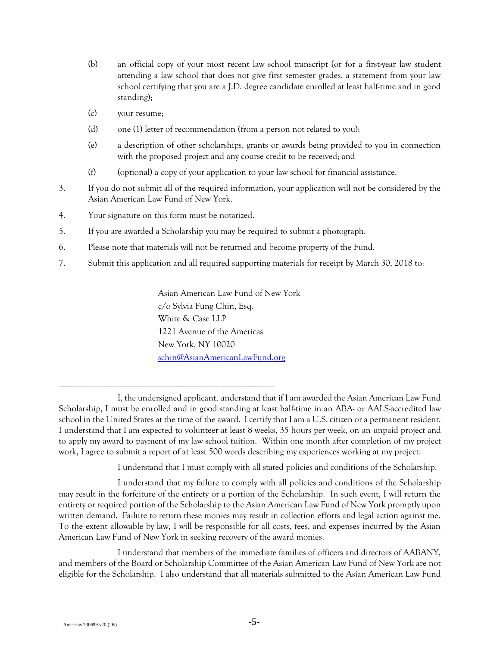- (b) an official copy of your most recent law school transcript (or for a first-year law student attending a law school that does not give first semester grades, a statement from your law school certifying that you are a J.D. degree candidate enrolled at least half-time and in good standing);
- (c) your resume;
- (d) one (1) letter of recommendation (from a person not related to you);
- (e) a description of other scholarships, grants or awards being provided to you in connection with the proposed project and any course credit to be received; and
- $(f)$  (optional) a copy of your application to your law school for financial assistance.
- 3. If you do not submit all of the required information, your application will not be considered by the Asian American Law Fund of New York.
- 4. Your signature on this form must be notarized.

\_\_\_\_\_\_\_\_\_\_\_\_\_\_\_\_\_\_\_\_\_\_\_\_\_\_\_\_\_\_\_\_\_\_\_\_\_\_\_\_\_\_\_\_\_\_\_\_

- 5. If you are awarded a Scholarship you may be required to submit a photograph.
- 6. Please note that materials will not be returned and become property of the Fund.
- 7. Submit this application and all required supporting materials for receipt by March 30, 2018 to:

Asian American Law Fund of New York c/o Sylvia Fung Chin, Esq. White & Case LLP 1221 Avenue of the Americas New York, NY 10020 [schin@AsianAmericanLawFund.org](mailto:schin@AsianAmericanLawFund.org)

I understand that I must comply with all stated policies and conditions of the Scholarship.

I understand that my failure to comply with all policies and conditions of the Scholarship may result in the forfeiture of the entirety or a portion of the Scholarship. In such event, I will return the entirety or required portion of the Scholarship to the Asian American Law Fund of New York promptly upon written demand. Failure to return these monies may result in collection efforts and legal action against me. To the extent allowable by law, I will be responsible for all costs, fees, and expenses incurred by the Asian American Law Fund of New York in seeking recovery of the award monies.

I understand that members of the immediate families of officers and directors of AABANY, and members of the Board or Scholarship Committee of the Asian American Law Fund of New York are not eligible for the Scholarship. I also understand that all materials submitted to the Asian American Law Fund

I, the undersigned applicant, understand that if I am awarded the Asian American Law Fund Scholarship, I must be enrolled and in good standing at least half-time in an ABA- or AALS-accredited law school in the United States at the time of the award. I certify that I am a U.S. citizen or a permanent resident. I understand that I am expected to volunteer at least 8 weeks, 35 hours per week, on an unpaid project and to apply my award to payment of my law school tuition. Within one month after completion of my project work, I agree to submit a report of at least 500 words describing my experiences working at my project.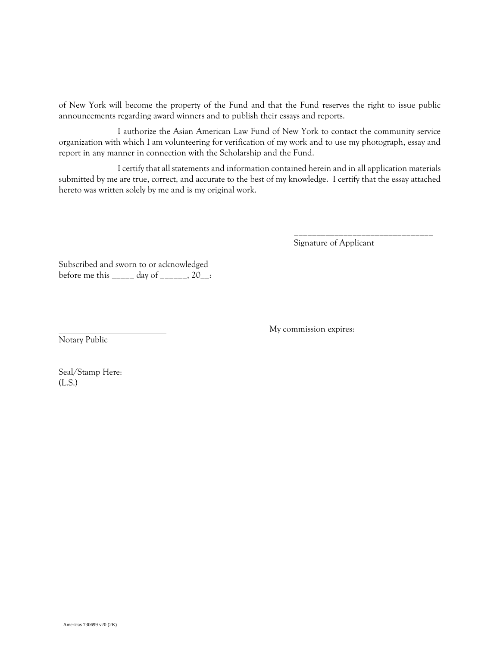of New York will become the property of the Fund and that the Fund reserves the right to issue public announcements regarding award winners and to publish their essays and reports.

I authorize the Asian American Law Fund of New York to contact the community service organization with which I am volunteering for verification of my work and to use my photograph, essay and report in any manner in connection with the Scholarship and the Fund.

I certify that all statements and information contained herein and in all application materials submitted by me are true, correct, and accurate to the best of my knowledge. I certify that the essay attached hereto was written solely by me and is my original work.

Signature of Applicant

\_\_\_\_\_\_\_\_\_\_\_\_\_\_\_\_\_\_\_\_\_\_\_\_\_\_\_\_\_\_\_

Subscribed and sworn to or acknowledged before me this \_\_\_\_\_ day of \_\_\_\_\_\_, 20\_\_:

My commission expires:

Notary Public

Seal/Stamp Here: (L.S.)